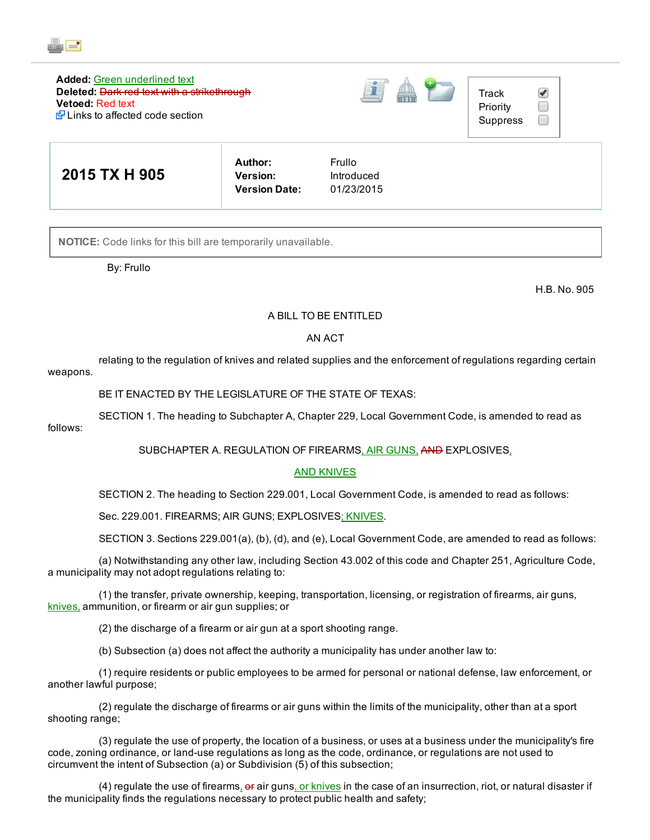

#### Added: Green underlined text Deleted: Dark red text with a strikethrough Vetoed: Red text Links to affected code section





| 2015 TX H 905 | Author:<br><b>Version:</b><br><b>Version Date:</b> | Frullo<br>Introduced<br>01/23/2015 |
|---------------|----------------------------------------------------|------------------------------------|
|---------------|----------------------------------------------------|------------------------------------|

NOTICE: Code links for this bill are temporarily unavailable.

By: Frullo

H.B. No. 905

## A BILL TO BE ENTITLED

## AN ACT

relating to the regulation of knives and related supplies and the enforcement of regulations regarding certain weapons.

BE IT ENACTED BY THE LEGISLATURE OF THE STATE OF TEXAS:

SECTION 1. The heading to Subchapter A, Chapter 229, Local Government Code, is amended to read as

follows:

SUBCHAPTER A. REGULATION OF FIREARMS, AIR GUNS, AND EXPLOSIVES,

# AND KNIVES

SECTION 2. The heading to Section 229.001, Local Government Code, is amended to read as follows:

Sec. 229.001. FIREARMS; AIR GUNS; EXPLOSIVES; KNIVES.

SECTION 3. Sections 229.001(a), (b), (d), and (e), Local Government Code, are amended to read as follows:

(a) Notwithstanding any other law, including Section 43.002 of this code and Chapter 251, Agriculture Code, a municipality may not adopt regulations relating to:

(1) the transfer, private ownership, keeping, transportation, licensing, or registration of firearms, air guns, knives, ammunition, or firearm or air gun supplies; or

(2) the discharge of a firearm or air gun at a sport shooting range.

(b) Subsection (a) does not affect the authority a municipality has under another law to:

(1) require residents or public employees to be armed for personal or national defense, law enforcement, or another lawful purpose;

(2) regulate the discharge of firearms or air guns within the limits of the municipality, other than at a sport shooting range;

(3) regulate the use of property, the location of a business, or uses at a business under the municipality's fire code, zoning ordinance, or land-use regulations as long as the code, ordinance, or regulations are not used to circumvent the intent of Subsection (a) or Subdivision (5) of this subsection;

(4) regulate the use of firearms, or air guns, or knives in the case of an insurrection, riot, or natural disaster if the municipality finds the regulations necessary to protect public health and safety;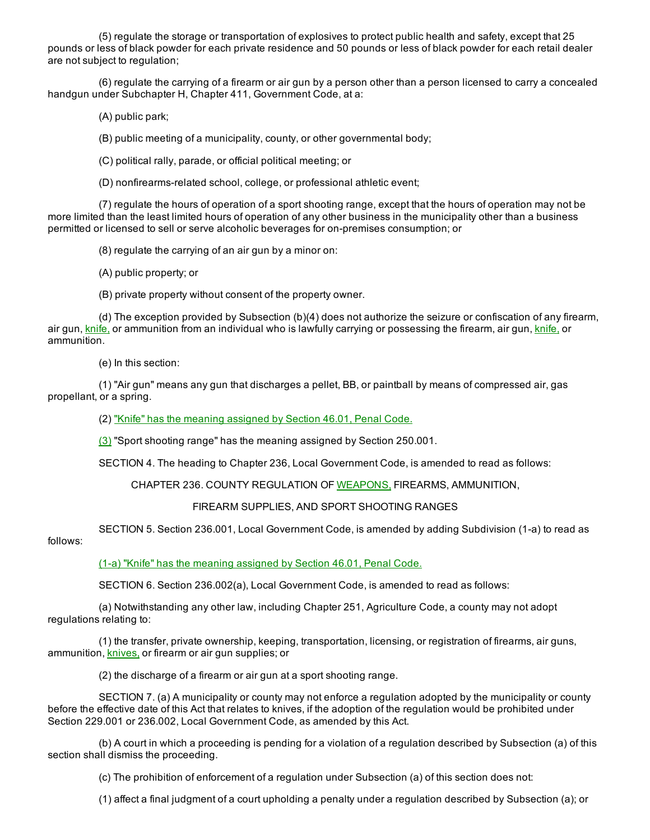(5) regulate the storage or transportation of explosives to protect public health and safety, except that 25 pounds or less of black powder for each private residence and 50 pounds or less of black powder for each retail dealer are not subject to regulation;

(6) regulate the carrying of a firearm or air gun by a person other than a person licensed to carry a concealed handgun under Subchapter H, Chapter 411, Government Code, at a:

(A) public park;

(B) public meeting of a municipality, county, or other governmental body;

(C) political rally, parade, or official political meeting; or

(D) nonfirearms-related school, college, or professional athletic event;

(7) regulate the hours of operation of a sport shooting range, except that the hours of operation may not be more limited than the least limited hours of operation of any other business in the municipality other than a business permitted or licensed to sell or serve alcoholic beverages for on-premises consumption; or

(8) regulate the carrying of an air gun by a minor on:

(A) public property; or

(B) private property without consent of the property owner.

(d) The exception provided by Subsection (b)(4) does not authorize the seizure or confiscation of any firearm, air gun, knife, or ammunition from an individual who is lawfully carrying or possessing the firearm, air gun, knife, or ammunition.

(e) In this section:

(1) "Air gun" means any gun that discharges a pellet, BB, or paintball by means of compressed air, gas propellant, or a spring.

(2) "Knife" has the meaning assigned by Section 46.01, Penal Code.

(3) "Sport shooting range" has the meaning assigned by Section 250.001.

SECTION 4. The heading to Chapter 236, Local Government Code, is amended to read as follows:

CHAPTER 236. COUNTY REGULATION OF WEAPONS, FIREARMS, AMMUNITION,

#### FIREARM SUPPLIES, AND SPORT SHOOTING RANGES

SECTION 5. Section 236.001, Local Government Code, is amended by adding Subdivision (1-a) to read as

# follows:

(1-a) "Knife" has the meaning assigned by Section 46.01, Penal Code.

SECTION 6. Section 236.002(a), Local Government Code, is amended to read as follows:

(a) Notwithstanding any other law, including Chapter 251, Agriculture Code, a county may not adopt regulations relating to:

(1) the transfer, private ownership, keeping, transportation, licensing, or registration of firearms, air guns, ammunition, knives, or firearm or air gun supplies; or

(2) the discharge of a firearm or air gun at a sport shooting range.

SECTION 7. (a) A municipality or county may not enforce a regulation adopted by the municipality or county before the effective date of this Act that relates to knives, if the adoption of the regulation would be prohibited under Section 229.001 or 236.002, Local Government Code, as amended by this Act.

(b) A court in which a proceeding is pending for a violation of a regulation described by Subsection (a) of this section shall dismiss the proceeding.

(c) The prohibition of enforcement of a regulation under Subsection (a) of this section does not:

(1) affect a final judgment of a court upholding a penalty under a regulation described by Subsection (a); or